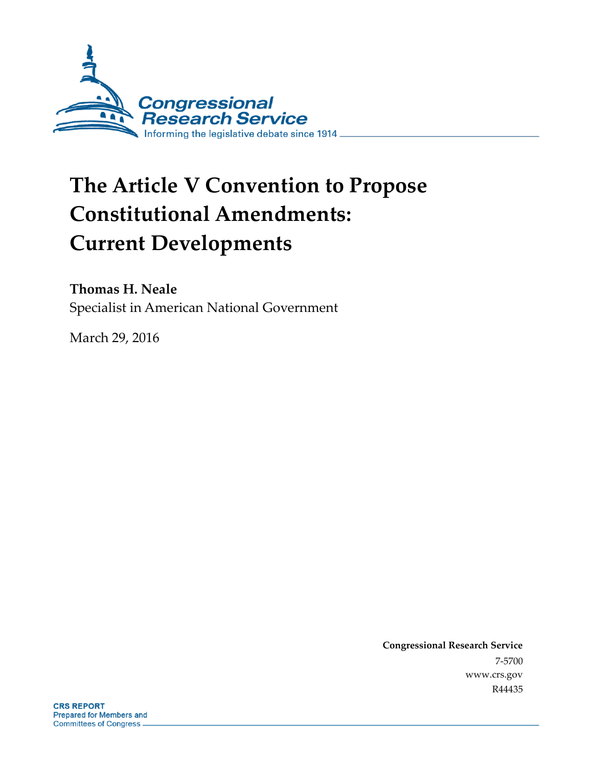

# **The Article V Convention to Propose Constitutional Amendments: Current Developments**

### **Thomas H. Neale**

Specialist in American National Government

March 29, 2016

**Congressional Research Service** 7-5700 www.crs.gov R44435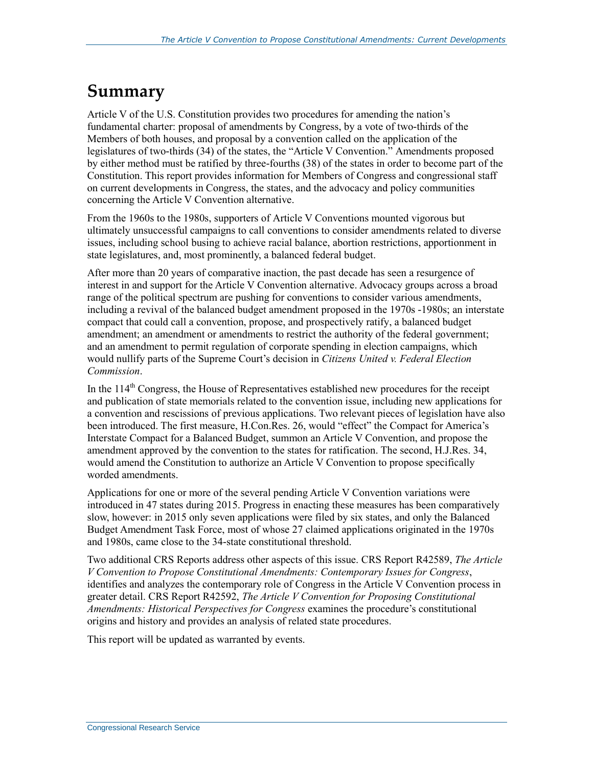## **Summary**

Article V of the U.S. Constitution provides two procedures for amending the nation's fundamental charter: proposal of amendments by Congress, by a vote of two-thirds of the Members of both houses, and proposal by a convention called on the application of the legislatures of two-thirds (34) of the states, the "Article V Convention." Amendments proposed by either method must be ratified by three-fourths (38) of the states in order to become part of the Constitution. This report provides information for Members of Congress and congressional staff on current developments in Congress, the states, and the advocacy and policy communities concerning the Article V Convention alternative.

From the 1960s to the 1980s, supporters of Article V Conventions mounted vigorous but ultimately unsuccessful campaigns to call conventions to consider amendments related to diverse issues, including school busing to achieve racial balance, abortion restrictions, apportionment in state legislatures, and, most prominently, a balanced federal budget.

After more than 20 years of comparative inaction, the past decade has seen a resurgence of interest in and support for the Article V Convention alternative. Advocacy groups across a broad range of the political spectrum are pushing for conventions to consider various amendments, including a revival of the balanced budget amendment proposed in the 1970s -1980s; an interstate compact that could call a convention, propose, and prospectively ratify, a balanced budget amendment; an amendment or amendments to restrict the authority of the federal government; and an amendment to permit regulation of corporate spending in election campaigns, which would nullify parts of the Supreme Court's decision in *Citizens United v. Federal Election Commission*.

In the  $114<sup>th</sup>$  Congress, the House of Representatives established new procedures for the receipt and publication of state memorials related to the convention issue, including new applications for a convention and rescissions of previous applications. Two relevant pieces of legislation have also been introduced. The first measure, H.Con.Res. 26, would "effect" the Compact for America's Interstate Compact for a Balanced Budget, summon an Article V Convention, and propose the amendment approved by the convention to the states for ratification. The second, H.J.Res. 34, would amend the Constitution to authorize an Article V Convention to propose specifically worded amendments.

Applications for one or more of the several pending Article V Convention variations were introduced in 47 states during 2015. Progress in enacting these measures has been comparatively slow, however: in 2015 only seven applications were filed by six states, and only the Balanced Budget Amendment Task Force, most of whose 27 claimed applications originated in the 1970s and 1980s, came close to the 34-state constitutional threshold.

Two additional CRS Reports address other aspects of this issue. CRS Report R42589, *The Article V Convention to Propose Constitutional Amendments: Contemporary Issues for Congress*, identifies and analyzes the contemporary role of Congress in the Article V Convention process in greater detail. CRS Report R42592, *The Article V Convention for Proposing Constitutional Amendments: Historical Perspectives for Congress* examines the procedure's constitutional origins and history and provides an analysis of related state procedures.

This report will be updated as warranted by events.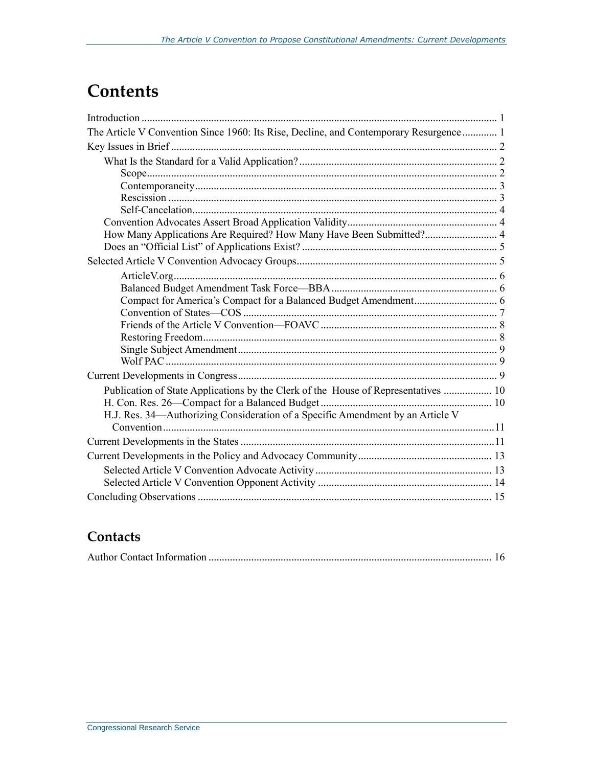## **Contents**

| The Article V Convention Since 1960: Its Rise, Decline, and Contemporary Resurgence  1 |  |
|----------------------------------------------------------------------------------------|--|
|                                                                                        |  |
|                                                                                        |  |
|                                                                                        |  |
|                                                                                        |  |
|                                                                                        |  |
|                                                                                        |  |
|                                                                                        |  |
| How Many Applications Are Required? How Many Have Been Submitted? 4                    |  |
|                                                                                        |  |
|                                                                                        |  |
|                                                                                        |  |
|                                                                                        |  |
|                                                                                        |  |
|                                                                                        |  |
|                                                                                        |  |
|                                                                                        |  |
|                                                                                        |  |
|                                                                                        |  |
|                                                                                        |  |
| Publication of State Applications by the Clerk of the House of Representatives  10     |  |
|                                                                                        |  |
| H.J. Res. 34-Authorizing Consideration of a Specific Amendment by an Article V         |  |
|                                                                                        |  |
|                                                                                        |  |
|                                                                                        |  |
|                                                                                        |  |
|                                                                                        |  |
|                                                                                        |  |

### **Contacts**

|--|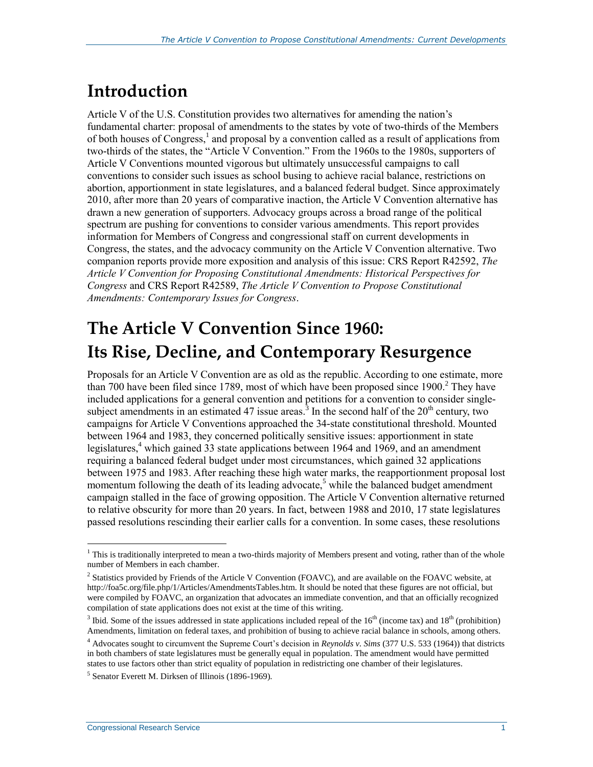## **Introduction**

Article V of the U.S. Constitution provides two alternatives for amending the nation's fundamental charter: proposal of amendments to the states by vote of two-thirds of the Members of both houses of Congress,<sup>1</sup> and proposal by a convention called as a result of applications from two-thirds of the states, the "Article V Convention." From the 1960s to the 1980s, supporters of Article V Conventions mounted vigorous but ultimately unsuccessful campaigns to call conventions to consider such issues as school busing to achieve racial balance, restrictions on abortion, apportionment in state legislatures, and a balanced federal budget. Since approximately 2010, after more than 20 years of comparative inaction, the Article V Convention alternative has drawn a new generation of supporters. Advocacy groups across a broad range of the political spectrum are pushing for conventions to consider various amendments. This report provides information for Members of Congress and congressional staff on current developments in Congress, the states, and the advocacy community on the Article V Convention alternative. Two companion reports provide more exposition and analysis of this issue: CRS Report R42592, *The Article V Convention for Proposing Constitutional Amendments: Historical Perspectives for Congress* and CRS Report R42589, *The Article V Convention to Propose Constitutional Amendments: Contemporary Issues for Congress*.

## **The Article V Convention Since 1960: Its Rise, Decline, and Contemporary Resurgence**

Proposals for an Article V Convention are as old as the republic. According to one estimate, more than 700 have been filed since 1789, most of which have been proposed since  $1900<sup>2</sup>$ . They have included applications for a general convention and petitions for a convention to consider singlesubject amendments in an estimated 47 issue areas.<sup>3</sup> In the second half of the  $20<sup>th</sup>$  century, two campaigns for Article V Conventions approached the 34-state constitutional threshold. Mounted between 1964 and 1983, they concerned politically sensitive issues: apportionment in state legislatures, <sup>4</sup> which gained 33 state applications between 1964 and 1969, and an amendment requiring a balanced federal budget under most circumstances, which gained 32 applications between 1975 and 1983. After reaching these high water marks, the reapportionment proposal lost momentum following the death of its leading advocate,<sup>5</sup> while the balanced budget amendment campaign stalled in the face of growing opposition. The Article V Convention alternative returned to relative obscurity for more than 20 years. In fact, between 1988 and 2010, 17 state legislatures passed resolutions rescinding their earlier calls for a convention. In some cases, these resolutions

 $1$  This is traditionally interpreted to mean a two-thirds majority of Members present and voting, rather than of the whole number of Members in each chamber.

<sup>&</sup>lt;sup>2</sup> Statistics provided by Friends of the Article V Convention (FOAVC), and are available on the FOAVC website, at http://foa5c.org/file.php/1/Articles/AmendmentsTables.htm. It should be noted that these figures are not official, but were compiled by FOAVC, an organization that advocates an immediate convention, and that an officially recognized compilation of state applications does not exist at the time of this writing.

<sup>&</sup>lt;sup>3</sup> Ibid. Some of the issues addressed in state applications included repeal of the  $16<sup>th</sup>$  (income tax) and  $18<sup>th</sup>$  (prohibition) Amendments, limitation on federal taxes, and prohibition of busing to achieve racial balance in schools, among others.

<sup>4</sup> Advocates sought to circumvent the Supreme Court's decision in *Reynolds v. Sims* (377 U.S. 533 (1964)) that districts in both chambers of state legislatures must be generally equal in population. The amendment would have permitted states to use factors other than strict equality of population in redistricting one chamber of their legislatures.

<sup>&</sup>lt;sup>5</sup> Senator Everett M. Dirksen of Illinois (1896-1969).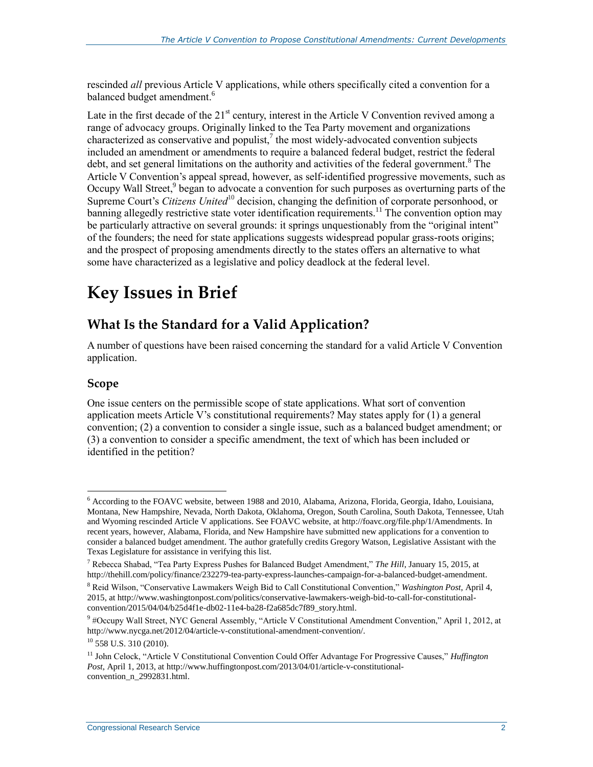rescinded *all* previous Article V applications, while others specifically cited a convention for a balanced budget amendment.<sup>6</sup>

Late in the first decade of the  $21^{st}$  century, interest in the Article V Convention revived among a range of advocacy groups. Originally linked to the Tea Party movement and organizations characterized as conservative and populist, $\lambda$  the most widely-advocated convention subjects included an amendment or amendments to require a balanced federal budget, restrict the federal debt, and set general limitations on the authority and activities of the federal government.<sup>8</sup> The Article V Convention's appeal spread, however, as self-identified progressive movements, such as Occupy Wall Street,<sup>9</sup> began to advocate a convention for such purposes as overturning parts of the Supreme Court's *Citizens United*<sup>10</sup> decision, changing the definition of corporate personhood, or banning allegedly restrictive state voter identification requirements.<sup>11</sup> The convention option may be particularly attractive on several grounds: it springs unquestionably from the "original intent" of the founders; the need for state applications suggests widespread popular grass-roots origins; and the prospect of proposing amendments directly to the states offers an alternative to what some have characterized as a legislative and policy deadlock at the federal level.

## **Key Issues in Brief**

## **What Is the Standard for a Valid Application?**

A number of questions have been raised concerning the standard for a valid Article V Convention application.

#### **Scope**

One issue centers on the permissible scope of state applications. What sort of convention application meets Article V's constitutional requirements? May states apply for (1) a general convention; (2) a convention to consider a single issue, such as a balanced budget amendment; or (3) a convention to consider a specific amendment, the text of which has been included or identified in the petition?

 $\overline{a}$ <sup>6</sup> According to the FOAVC website, between 1988 and 2010, Alabama, Arizona, Florida, Georgia, Idaho, Louisiana, Montana, New Hampshire, Nevada, North Dakota, Oklahoma, Oregon, South Carolina, South Dakota, Tennessee, Utah and Wyoming rescinded Article V applications. See FOAVC website, at http://foavc.org/file.php/1/Amendments. In recent years, however, Alabama, Florida, and New Hampshire have submitted new applications for a convention to consider a balanced budget amendment. The author gratefully credits Gregory Watson, Legislative Assistant with the Texas Legislature for assistance in verifying this list.

<sup>7</sup> Rebecca Shabad, "Tea Party Express Pushes for Balanced Budget Amendment," *The Hill*, January 15, 2015, at http://thehill.com/policy/finance/232279-tea-party-express-launches-campaign-for-a-balanced-budget-amendment.

<sup>8</sup> Reid Wilson, "Conservative Lawmakers Weigh Bid to Call Constitutional Convention," *Washington Post*, April 4, 2015, at http://www.washingtonpost.com/politics/conservative-lawmakers-weigh-bid-to-call-for-constitutionalconvention/2015/04/04/b25d4f1e-db02-11e4-ba28-f2a685dc7f89\_story.html.

<sup>9</sup> #Occupy Wall Street, NYC General Assembly, "Article V Constitutional Amendment Convention," April 1, 2012, at http://www.nycga.net/2012/04/article-v-constitutional-amendment-convention/.

 $10$  558 U.S. 310 (2010).

<sup>11</sup> John Celock, "Article V Constitutional Convention Could Offer Advantage For Progressive Causes," *Huffington Post*, April 1, 2013, at http://www.huffingtonpost.com/2013/04/01/article-v-constitutionalconvention\_n\_2992831.html.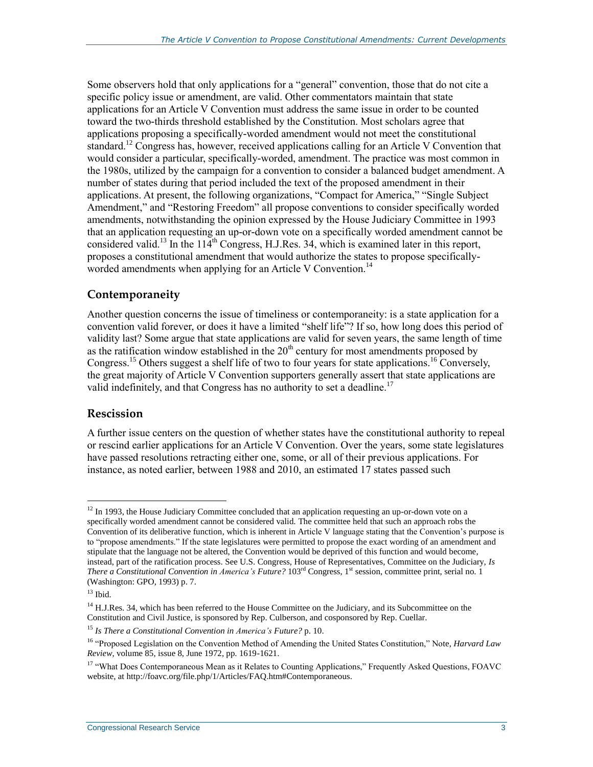Some observers hold that only applications for a "general" convention, those that do not cite a specific policy issue or amendment, are valid. Other commentators maintain that state applications for an Article V Convention must address the same issue in order to be counted toward the two-thirds threshold established by the Constitution. Most scholars agree that applications proposing a specifically-worded amendment would not meet the constitutional standard.<sup>12</sup> Congress has, however, received applications calling for an Article V Convention that would consider a particular, specifically-worded, amendment. The practice was most common in the 1980s, utilized by the campaign for a convention to consider a balanced budget amendment. A number of states during that period included the text of the proposed amendment in their applications. At present, the following organizations, "Compact for America," "Single Subject Amendment," and "Restoring Freedom" all propose conventions to consider specifically worded amendments, notwithstanding the opinion expressed by the House Judiciary Committee in 1993 that an application requesting an up-or-down vote on a specifically worded amendment cannot be considered valid.<sup>13</sup> In the  $114<sup>th</sup>$  Congress, H.J.Res. 34, which is examined later in this report, proposes a constitutional amendment that would authorize the states to propose specificallyworded amendments when applying for an Article V Convention.<sup>14</sup>

#### **Contemporaneity**

Another question concerns the issue of timeliness or contemporaneity: is a state application for a convention valid forever, or does it have a limited "shelf life"? If so, how long does this period of validity last? Some argue that state applications are valid for seven years, the same length of time as the ratification window established in the  $20<sup>th</sup>$  century for most amendments proposed by Congress.<sup>15</sup> Others suggest a shelf life of two to four years for state applications.<sup>16</sup> Conversely, the great majority of Article V Convention supporters generally assert that state applications are valid indefinitely, and that Congress has no authority to set a deadline.<sup>17</sup>

#### **Rescission**

A further issue centers on the question of whether states have the constitutional authority to repeal or rescind earlier applications for an Article V Convention. Over the years, some state legislatures have passed resolutions retracting either one, some, or all of their previous applications. For instance, as noted earlier, between 1988 and 2010, an estimated 17 states passed such

 $\overline{a}$  $12$  In 1993, the House Judiciary Committee concluded that an application requesting an up-or-down vote on a specifically worded amendment cannot be considered valid. The committee held that such an approach robs the Convention of its deliberative function, which is inherent in Article V language stating that the Convention's purpose is to "propose amendments." If the state legislatures were permitted to propose the exact wording of an amendment and stipulate that the language not be altered, the Convention would be deprived of this function and would become, instead, part of the ratification process. See U.S. Congress, House of Representatives, Committee on the Judiciary, *Is There a Constitutional Convention in America's Future?* 103<sup>rd</sup> Congress, 1<sup>st</sup> session, committee print, serial no. 1 (Washington: GPO, 1993) p. 7.

 $13$  Ibid.

<sup>&</sup>lt;sup>14</sup> H.J.Res. 34, which has been referred to the House Committee on the Judiciary, and its Subcommittee on the Constitution and Civil Justice, is sponsored by Rep. Culberson, and cosponsored by Rep. Cuellar.

<sup>15</sup> *Is There a Constitutional Convention in America's Future?* p. 10.

<sup>16</sup> "Proposed Legislation on the Convention Method of Amending the United States Constitution," Note, *Harvard Law Review*, volume 85, issue 8, June 1972, pp. 1619-1621.

<sup>&</sup>lt;sup>17</sup> "What Does Contemporaneous Mean as it Relates to Counting Applications," Frequently Asked Questions, FOAVC website, at http://foavc.org/file.php/1/Articles/FAQ.htm#Contemporaneous.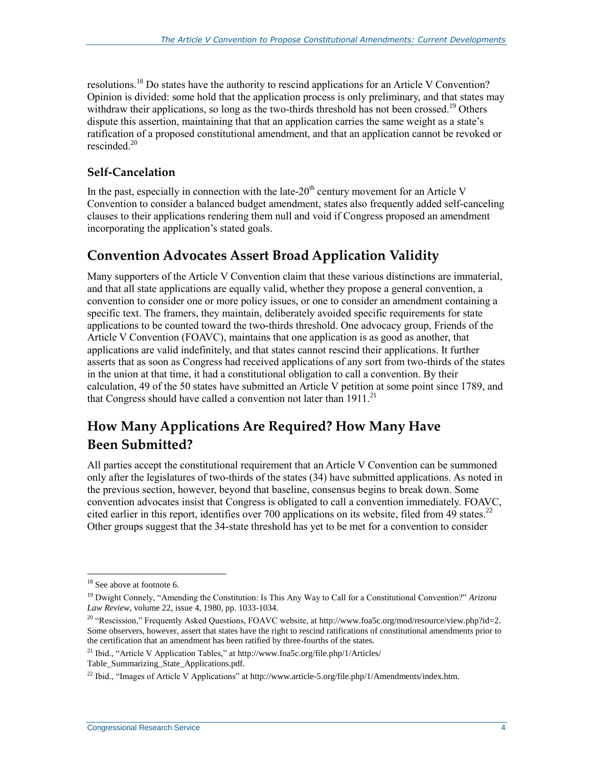resolutions.<sup>18</sup> Do states have the authority to rescind applications for an Article V Convention? Opinion is divided: some hold that the application process is only preliminary, and that states may withdraw their applications, so long as the two-thirds threshold has not been crossed.<sup>19</sup> Others dispute this assertion, maintaining that that an application carries the same weight as a state's ratification of a proposed constitutional amendment, and that an application cannot be revoked or rescinded<sup>20</sup>

#### **Self-Cancelation**

In the past, especially in connection with the late- $20<sup>th</sup>$  century movement for an Article V Convention to consider a balanced budget amendment, states also frequently added self-canceling clauses to their applications rendering them null and void if Congress proposed an amendment incorporating the application's stated goals.

### **Convention Advocates Assert Broad Application Validity**

Many supporters of the Article V Convention claim that these various distinctions are immaterial, and that all state applications are equally valid, whether they propose a general convention, a convention to consider one or more policy issues, or one to consider an amendment containing a specific text. The framers, they maintain, deliberately avoided specific requirements for state applications to be counted toward the two-thirds threshold. One advocacy group, Friends of the Article V Convention (FOAVC), maintains that one application is as good as another, that applications are valid indefinitely, and that states cannot rescind their applications. It further asserts that as soon as Congress had received applications of any sort from two-thirds of the states in the union at that time, it had a constitutional obligation to call a convention. By their calculation, 49 of the 50 states have submitted an Article V petition at some point since 1789, and that Congress should have called a convention not later than  $1911$ <sup>21</sup>

### **How Many Applications Are Required? How Many Have Been Submitted?**

All parties accept the constitutional requirement that an Article V Convention can be summoned only after the legislatures of two-thirds of the states (34) have submitted applications. As noted in the previous section, however, beyond that baseline, consensus begins to break down. Some convention advocates insist that Congress is obligated to call a convention immediately. FOAVC, cited earlier in this report, identifies over 700 applications on its website, filed from 49 states.<sup>22</sup> Other groups suggest that the 34-state threshold has yet to be met for a convention to consider

<sup>&</sup>lt;sup>18</sup> See above at footnote 6.

<sup>19</sup> Dwight Connely, "Amending the Constitution: Is This Any Way to Call for a Constitutional Convention?" *Arizona Law Review*, volume 22, issue 4, 1980, pp. 1033-1034.

<sup>&</sup>lt;sup>20</sup> "Rescission," Frequently Asked Questions, FOAVC website, at http://www.foa5c.org/mod/resource/view.php?id=2. Some observers, however, assert that states have the right to rescind ratifications of constitutional amendments prior to the certification that an amendment has been ratified by three-fourths of the states.

<sup>&</sup>lt;sup>21</sup> Ibid., "Article V Application Tables," at http://www.foa5c.org/file.php/1/Articles/

Table\_Summarizing\_State\_Applications.pdf.

<sup>&</sup>lt;sup>22</sup> Ibid., "Images of Article V Applications" at http://www.article-5.org/file.php/1/Amendments/index.htm.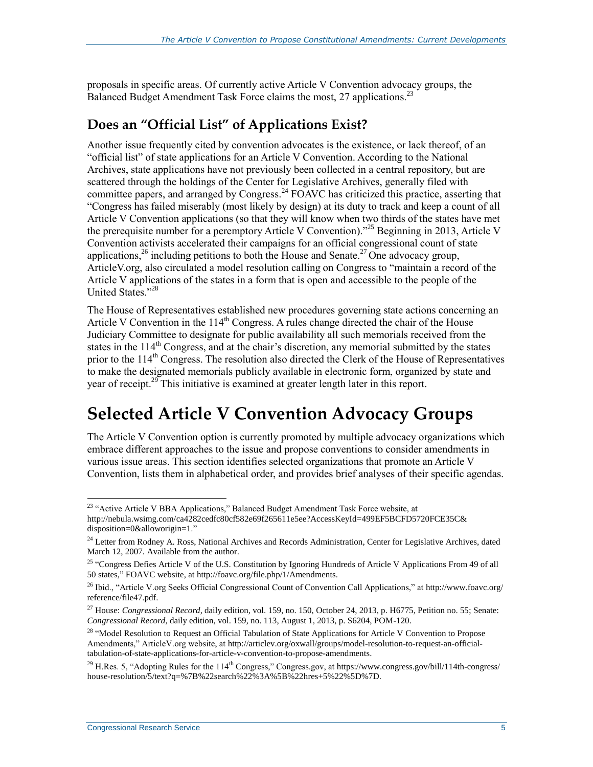proposals in specific areas. Of currently active Article V Convention advocacy groups, the Balanced Budget Amendment Task Force claims the most, 27 applications.<sup>23</sup>

### **Does an "Official List" of Applications Exist?**

Another issue frequently cited by convention advocates is the existence, or lack thereof, of an "official list" of state applications for an Article V Convention. According to the National Archives, state applications have not previously been collected in a central repository, but are scattered through the holdings of the Center for Legislative Archives, generally filed with committee papers, and arranged by Congress.<sup>24</sup> FOAVC has criticized this practice, asserting that "Congress has failed miserably (most likely by design) at its duty to track and keep a count of all Article V Convention applications (so that they will know when two thirds of the states have met the prerequisite number for a peremptory Article V Convention)."<sup>25</sup> Beginning in 2013, Article V Convention activists accelerated their campaigns for an official congressional count of state applications,<sup>26</sup> including petitions to both the House and Senate.<sup>27</sup> One advocacy group, ArticleV.org, also circulated a model resolution calling on Congress to "maintain a record of the Article V applications of the states in a form that is open and accessible to the people of the United States."<sup>28</sup>

The House of Representatives established new procedures governing state actions concerning an Article V Convention in the  $114<sup>th</sup>$  Congress. A rules change directed the chair of the House Judiciary Committee to designate for public availability all such memorials received from the states in the 114<sup>th</sup> Congress, and at the chair's discretion, any memorial submitted by the states prior to the  $114<sup>th</sup>$  Congress. The resolution also directed the Clerk of the House of Representatives to make the designated memorials publicly available in electronic form, organized by state and year of receipt.<sup>29</sup> This initiative is examined at greater length later in this report.

## **Selected Article V Convention Advocacy Groups**

The Article V Convention option is currently promoted by multiple advocacy organizations which embrace different approaches to the issue and propose conventions to consider amendments in various issue areas. This section identifies selected organizations that promote an Article V Convention, lists them in alphabetical order, and provides brief analyses of their specific agendas.

<sup>&</sup>lt;sup>23</sup> "Active Article V BBA Applications," Balanced Budget Amendment Task Force website, at http://nebula.wsimg.com/ca4282cedfc80cf582e69f265611e5ee?AccessKeyId=499EF5BCFD5720FCE35C& disposition=0&alloworigin=1."

<sup>&</sup>lt;sup>24</sup> Letter from Rodney A. Ross, National Archives and Records Administration, Center for Legislative Archives, dated March 12, 2007. Available from the author.

<sup>&</sup>lt;sup>25</sup> "Congress Defies Article V of the U.S. Constitution by Ignoring Hundreds of Article V Applications From 49 of all 50 states," FOAVC website, at http://foavc.org/file.php/1/Amendments.

<sup>26</sup> Ibid., "Article V.org Seeks Official Congressional Count of Convention Call Applications," at http://www.foavc.org/ reference/file47.pdf.

<sup>27</sup> House: *Congressional Record*, daily edition, vol. 159, no. 150, October 24, 2013, p. H6775, Petition no. 55; Senate: *Congressional Record*, daily edition, vol. 159, no. 113, August 1, 2013, p. S6204, POM-120.

<sup>&</sup>lt;sup>28</sup> "Model Resolution to Request an Official Tabulation of State Applications for Article V Convention to Propose Amendments," ArticleV.org website, at http://articlev.org/oxwall/groups/model-resolution-to-request-an-officialtabulation-of-state-applications-for-article-v-convention-to-propose-amendments.

<sup>&</sup>lt;sup>29</sup> H.Res. 5, "Adopting Rules for the 114<sup>th</sup> Congress," Congress.gov, at https://www.congress.gov/bill/114th-congress/ house-resolution/5/text?q=%7B%22search%22%3A%5B%22hres+5%22%5D%7D.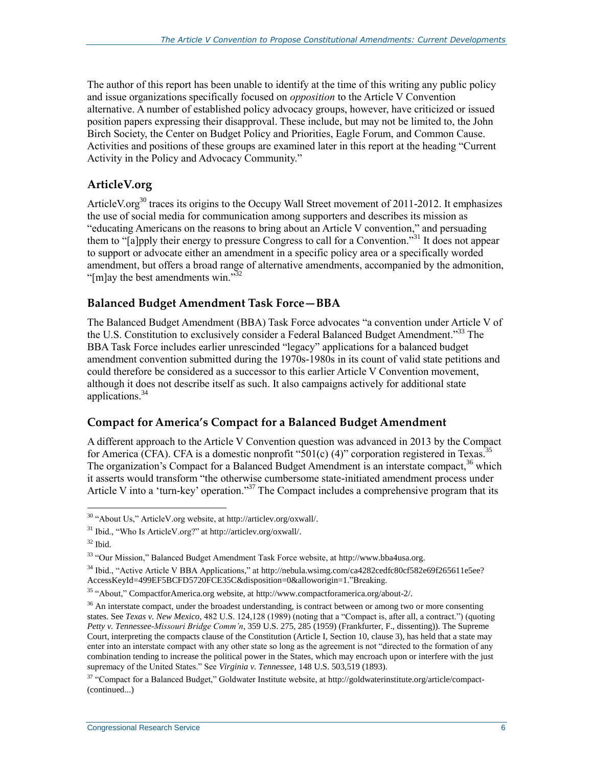The author of this report has been unable to identify at the time of this writing any public policy and issue organizations specifically focused on *opposition* to the Article V Convention alternative. A number of established policy advocacy groups, however, have criticized or issued position papers expressing their disapproval. These include, but may not be limited to, the John Birch Society, the Center on Budget Policy and Priorities, Eagle Forum, and Common Cause. Activities and positions of these groups are examined later in this report at the heading "Current Activity in the Policy and Advocacy Community."

#### **ArticleV.org**

ArticleV.org<sup>30</sup> traces its origins to the Occupy Wall Street movement of 2011-2012. It emphasizes the use of social media for communication among supporters and describes its mission as "educating Americans on the reasons to bring about an Article V convention," and persuading them to "[a]pply their energy to pressure Congress to call for a Convention."<sup>31</sup> It does not appear to support or advocate either an amendment in a specific policy area or a specifically worded amendment, but offers a broad range of alternative amendments, accompanied by the admonition, " $[m]$ ay the best amendments win."<sup>32</sup>

#### **Balanced Budget Amendment Task Force—BBA**

The Balanced Budget Amendment (BBA) Task Force advocates "a convention under Article V of the U.S. Constitution to exclusively consider a Federal Balanced Budget Amendment."<sup>33</sup> The BBA Task Force includes earlier unrescinded "legacy" applications for a balanced budget amendment convention submitted during the 1970s-1980s in its count of valid state petitions and could therefore be considered as a successor to this earlier Article V Convention movement, although it does not describe itself as such. It also campaigns actively for additional state applications. 34

#### **Compact for America's Compact for a Balanced Budget Amendment**

A different approach to the Article V Convention question was advanced in 2013 by the Compact for America (CFA). CFA is a domestic nonprofit "501(c) (4)" corporation registered in Texas.<sup>35</sup> The organization's Compact for a Balanced Budget Amendment is an interstate compact.<sup>36</sup> which it asserts would transform "the otherwise cumbersome state-initiated amendment process under Article V into a 'turn-key' operation."<sup>37</sup> The Compact includes a comprehensive program that its

 $\overline{a}$ <sup>30</sup> "About Us," ArticleV.org website, at http://articlev.org/oxwall/.

<sup>31</sup> Ibid., "Who Is ArticleV.org?" at http://articlev.org/oxwall/.

 $32$  Ibid.

<sup>33</sup> "Our Mission," Balanced Budget Amendment Task Force website, at http://www.bba4usa.org.

<sup>34</sup> Ibid., "Active Article V BBA Applications," at http://nebula.wsimg.com/ca4282cedfc80cf582e69f265611e5ee? AccessKeyId=499EF5BCFD5720FCE35C&disposition=0&alloworigin=1."Breaking.

<sup>35</sup> "About," CompactforAmerica.org website, at http://www.compactforamerica.org/about-2/.

 $36$  An interstate compact, under the broadest understanding, is contract between or among two or more consenting states. See *Texas v. New Mexico*, 482 U.S. 124,128 (1989) (noting that a "Compact is, after all, a contract.") (quoting *Petty v. Tennessee-Missouri Bridge Comm'n*, 359 U.S. 275, 285 (1959) (Frankfurter, F., dissenting)). The Supreme Court, interpreting the compacts clause of the Constitution (Article I, Section 10, clause 3), has held that a state may enter into an interstate compact with any other state so long as the agreement is not "directed to the formation of any combination tending to increase the political power in the States, which may encroach upon or interfere with the just supremacy of the United States." See *Virginia v. Tennessee*, 148 U.S. 503,519 (1893).

 $37$  "Compact for a Balanced Budget," Goldwater Institute website, at http://goldwaterinstitute.org/article/compact-(continued...)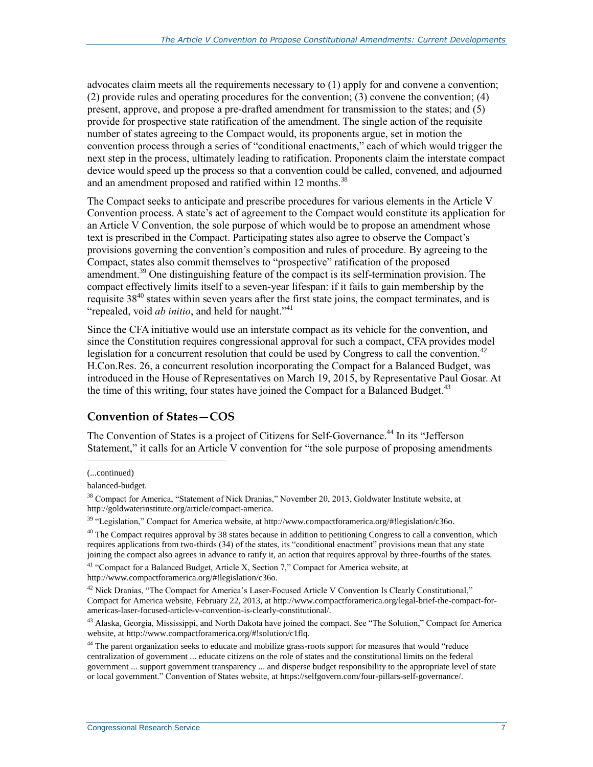advocates claim meets all the requirements necessary to (1) apply for and convene a convention; (2) provide rules and operating procedures for the convention; (3) convene the convention; (4) present, approve, and propose a pre-drafted amendment for transmission to the states; and (5) provide for prospective state ratification of the amendment. The single action of the requisite number of states agreeing to the Compact would, its proponents argue, set in motion the convention process through a series of "conditional enactments," each of which would trigger the next step in the process, ultimately leading to ratification. Proponents claim the interstate compact device would speed up the process so that a convention could be called, convened, and adjourned and an amendment proposed and ratified within 12 months.<sup>38</sup>

The Compact seeks to anticipate and prescribe procedures for various elements in the Article V Convention process. A state's act of agreement to the Compact would constitute its application for an Article V Convention, the sole purpose of which would be to propose an amendment whose text is prescribed in the Compact. Participating states also agree to observe the Compact's provisions governing the convention's composition and rules of procedure. By agreeing to the Compact, states also commit themselves to "prospective" ratification of the proposed amendment.<sup>39</sup> One distinguishing feature of the compact is its self-termination provision. The compact effectively limits itself to a seven-year lifespan: if it fails to gain membership by the requisite 38<sup>40</sup> states within seven years after the first state joins, the compact terminates, and is "repealed, void *ab initio*, and held for naught."<sup>41</sup>

Since the CFA initiative would use an interstate compact as its vehicle for the convention, and since the Constitution requires congressional approval for such a compact, CFA provides model legislation for a concurrent resolution that could be used by Congress to call the convention.<sup>42</sup> H.Con.Res. 26, a concurrent resolution incorporating the Compact for a Balanced Budget, was introduced in the House of Representatives on March 19, 2015, by Representative Paul Gosar. At the time of this writing, four states have joined the Compact for a Balanced Budget.<sup>43</sup>

#### **Convention of States—COS**

The Convention of States is a project of Citizens for Self-Governance.<sup>44</sup> In its "Jefferson Statement," it calls for an Article V convention for "the sole purpose of proposing amendments

 $\overline{a}$ 

 $41$  "Compact for a Balanced Budget, Article X, Section 7," Compact for America website, at http://www.compactforamerica.org/#!legislation/c36o.

<sup>(...</sup>continued)

balanced-budget.

<sup>38</sup> Compact for America, "Statement of Nick Dranias," November 20, 2013, Goldwater Institute website, at http://goldwaterinstitute.org/article/compact-america.

<sup>39</sup> "Legislation," Compact for America website, at http://www.compactforamerica.org/#!legislation/c36o.

 $40$  The Compact requires approval by 38 states because in addition to petitioning Congress to call a convention, which requires applications from two-thirds (34) of the states, its "conditional enactment" provisions mean that any state joining the compact also agrees in advance to ratify it, an action that requires approval by three-fourths of the states.

<sup>&</sup>lt;sup>42</sup> Nick Dranias, "The Compact for America's Laser-Focused Article V Convention Is Clearly Constitutional," Compact for America website, February 22, 2013, at http://www.compactforamerica.org/legal-brief-the-compact-foramericas-laser-focused-article-v-convention-is-clearly-constitutional/.

<sup>&</sup>lt;sup>43</sup> Alaska, Georgia, Mississippi, and North Dakota have joined the compact. See "The Solution," Compact for America website, at http://www.compactforamerica.org/#!solution/c1flq.

<sup>&</sup>lt;sup>44</sup> The parent organization seeks to educate and mobilize grass-roots support for measures that would "reduce" centralization of government ... educate citizens on the role of states and the constitutional limits on the federal government ... support government transparency ... and disperse budget responsibility to the appropriate level of state or local government." Convention of States website, at https://selfgovern.com/four-pillars-self-governance/.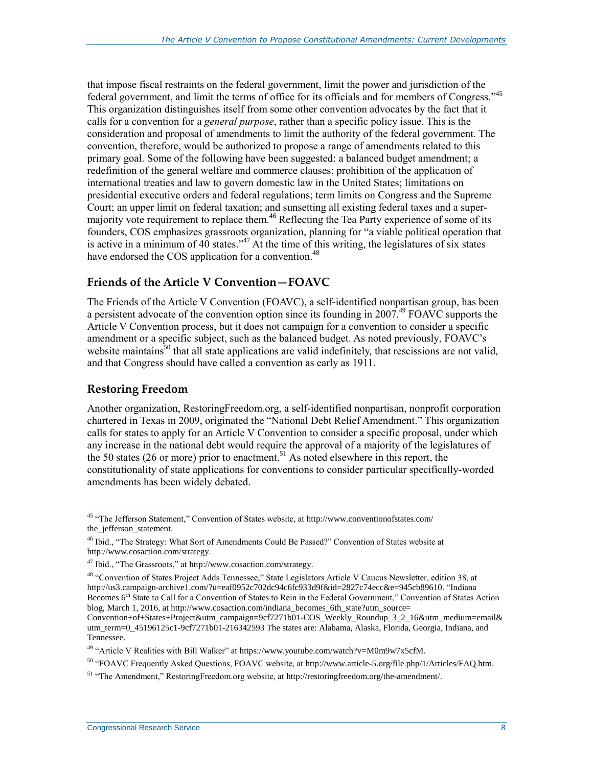that impose fiscal restraints on the federal government, limit the power and jurisdiction of the federal government, and limit the terms of office for its officials and for members of Congress."<sup>45</sup> This organization distinguishes itself from some other convention advocates by the fact that it calls for a convention for a *general purpose*, rather than a specific policy issue. This is the consideration and proposal of amendments to limit the authority of the federal government. The convention, therefore, would be authorized to propose a range of amendments related to this primary goal. Some of the following have been suggested: a balanced budget amendment; a redefinition of the general welfare and commerce clauses; prohibition of the application of international treaties and law to govern domestic law in the United States; limitations on presidential executive orders and federal regulations; term limits on Congress and the Supreme Court; an upper limit on federal taxation; and sunsetting all existing federal taxes and a supermajority vote requirement to replace them.<sup>46</sup> Reflecting the Tea Party experience of some of its founders, COS emphasizes grassroots organization, planning for "a viable political operation that is active in a minimum of 40 states."<sup>47</sup> At the time of this writing, the legislatures of six states have endorsed the COS application for a convention.<sup>48</sup>

#### **Friends of the Article V Convention—FOAVC**

The Friends of the Article V Convention (FOAVC), a self-identified nonpartisan group, has been a persistent advocate of the convention option since its founding in  $2007<sup>49</sup>$  FOAVC supports the Article V Convention process, but it does not campaign for a convention to consider a specific amendment or a specific subject, such as the balanced budget. As noted previously, FOAVC's website maintains<sup>50</sup> that all state applications are valid indefinitely, that rescissions are not valid, and that Congress should have called a convention as early as 1911.

#### **Restoring Freedom**

 $\overline{a}$ 

Another organization, RestoringFreedom.org, a self-identified nonpartisan, nonprofit corporation chartered in Texas in 2009, originated the "National Debt Relief Amendment." This organization calls for states to apply for an Article V Convention to consider a specific proposal, under which any increase in the national debt would require the approval of a majority of the legislatures of the 50 states (26 or more) prior to enactment.<sup>51</sup> As noted elsewhere in this report, the constitutionality of state applications for conventions to consider particular specifically-worded amendments has been widely debated.

<sup>&</sup>lt;sup>45</sup> "The Jefferson Statement," Convention of States website, at http://www.conventionofstates.com/ the\_jefferson\_statement.

<sup>&</sup>lt;sup>46</sup> Ibid., "The Strategy: What Sort of Amendments Could Be Passed?" Convention of States website at http://www.cosaction.com/strategy.

<sup>47</sup> Ibid., "The Grassroots," at http://www.cosaction.com/strategy.

<sup>48</sup> "Convention of States Project Adds Tennessee," State Legislators Article V Caucus Newsletter, edition 38, at http://us3.campaign-archive1.com/?u=eaf0952c702dc94c6fc933d9f&id=2827c74ecc&e=945cb89610. "Indiana Becomes 6<sup>th</sup> State to Call for a Convention of States to Rein in the Federal Government," Convention of States Action blog, March 1, 2016, at http://www.cosaction.com/indiana\_becomes\_6th\_state?utm\_source=

Convention+of+States+Project&utm\_campaign=9cf7271b01-COS\_Weekly\_Roundup\_3\_2\_16&utm\_medium=email& utm\_term=0\_45196125c1-9cf7271b01-216342593 The states are: Alabama, Alaska, Florida, Georgia, Indiana, and Tennessee.

 $49$  "Article V Realities with Bill Walker" at https://www.youtube.com/watch?v=M0m9w7x5cfM.

<sup>50</sup> "FOAVC Frequently Asked Questions, FOAVC website, at http://www.article-5.org/file.php/1/Articles/FAQ.htm.

<sup>&</sup>lt;sup>51</sup> "The Amendment," RestoringFreedom.org website, at http://restoringfreedom.org/the-amendment/.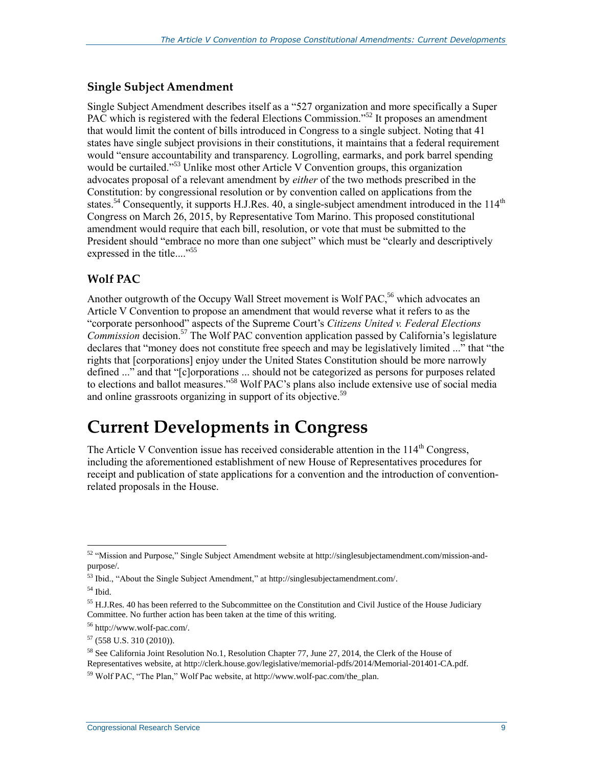#### **Single Subject Amendment**

Single Subject Amendment describes itself as a "527 organization and more specifically a Super PAC which is registered with the federal Elections Commission."<sup>52</sup> It proposes an amendment that would limit the content of bills introduced in Congress to a single subject. Noting that 41 states have single subject provisions in their constitutions, it maintains that a federal requirement would "ensure accountability and transparency. Logrolling, earmarks, and pork barrel spending would be curtailed."<sup>53</sup> Unlike most other Article V Convention groups, this organization advocates proposal of a relevant amendment by *either* of the two methods prescribed in the Constitution: by congressional resolution or by convention called on applications from the states.<sup>54</sup> Consequently, it supports H.J.Res. 40, a single-subject amendment introduced in the 114<sup>th</sup> Congress on March 26, 2015, by Representative Tom Marino. This proposed constitutional amendment would require that each bill, resolution, or vote that must be submitted to the President should "embrace no more than one subject" which must be "clearly and descriptively expressed in the title...."<sup>55</sup>

#### **Wolf PAC**

Another outgrowth of the Occupy Wall Street movement is Wolf PAC,<sup>56</sup> which advocates an Article V Convention to propose an amendment that would reverse what it refers to as the "corporate personhood" aspects of the Supreme Court's *Citizens United v. Federal Elections*  Commission decision.<sup>57</sup> The Wolf PAC convention application passed by California's legislature declares that "money does not constitute free speech and may be legislatively limited ..." that "the rights that [corporations] enjoy under the United States Constitution should be more narrowly defined ..." and that "[c]orporations ... should not be categorized as persons for purposes related to elections and ballot measures."<sup>58</sup> Wolf PAC's plans also include extensive use of social media and online grassroots organizing in support of its objective.<sup>59</sup>

## **Current Developments in Congress**

The Article V Convention issue has received considerable attention in the 114<sup>th</sup> Congress. including the aforementioned establishment of new House of Representatives procedures for receipt and publication of state applications for a convention and the introduction of conventionrelated proposals in the House.

 $\overline{a}$  $52$  "Mission and Purpose," Single Subject Amendment website at http://singlesubjectamendment.com/mission-andpurpose/.

<sup>53</sup> Ibid., "About the Single Subject Amendment," at http://singlesubjectamendment.com/.

 $54$  Ibid.

<sup>&</sup>lt;sup>55</sup> H.J.Res. 40 has been referred to the Subcommittee on the Constitution and Civil Justice of the House Judiciary Committee. No further action has been taken at the time of this writing.

<sup>56</sup> http://www.wolf-pac.com/.

 $57$  (558 U.S. 310 (2010)).

<sup>&</sup>lt;sup>58</sup> See California Joint Resolution No.1, Resolution Chapter 77, June 27, 2014, the Clerk of the House of Representatives website, at http://clerk.house.gov/legislative/memorial-pdfs/2014/Memorial-201401-CA.pdf.

<sup>59</sup> Wolf PAC, "The Plan," Wolf Pac website, at http://www.wolf-pac.com/the\_plan.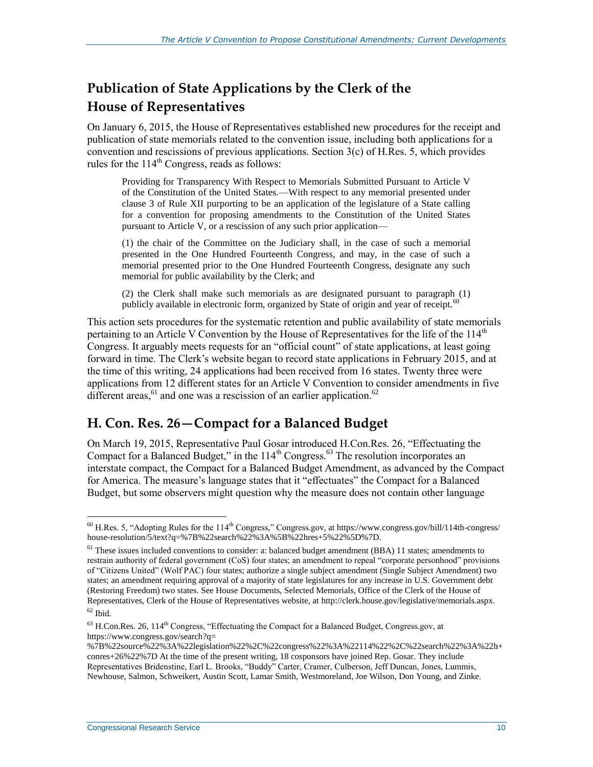## **Publication of State Applications by the Clerk of the House of Representatives**

On January 6, 2015, the House of Representatives established new procedures for the receipt and publication of state memorials related to the convention issue, including both applications for a convention and rescissions of previous applications. Section 3(c) of H.Res. 5, which provides rules for the  $114<sup>th</sup>$  Congress, reads as follows:

Providing for Transparency With Respect to Memorials Submitted Pursuant to Article V of the Constitution of the United States.—With respect to any memorial presented under clause 3 of Rule XII purporting to be an application of the legislature of a State calling for a convention for proposing amendments to the Constitution of the United States pursuant to Article V, or a rescission of any such prior application—

(1) the chair of the Committee on the Judiciary shall, in the case of such a memorial presented in the One Hundred Fourteenth Congress, and may, in the case of such a memorial presented prior to the One Hundred Fourteenth Congress, designate any such memorial for public availability by the Clerk; and

(2) the Clerk shall make such memorials as are designated pursuant to paragraph (1) publicly available in electronic form, organized by State of origin and year of receipt.<sup>60</sup>

This action sets procedures for the systematic retention and public availability of state memorials pertaining to an Article V Convention by the House of Representatives for the life of the  $114<sup>th</sup>$ Congress. It arguably meets requests for an "official count" of state applications, at least going forward in time. The Clerk's website began to record state applications in February 2015, and at the time of this writing, 24 applications had been received from 16 states. Twenty three were applications from 12 different states for an Article V Convention to consider amendments in five different areas,  $61$  and one was a rescission of an earlier application.  $62$ 

### **H. Con. Res. 26—Compact for a Balanced Budget**

On March 19, 2015, Representative Paul Gosar introduced H.Con.Res. 26, "Effectuating the Compact for a Balanced Budget," in the  $114<sup>th</sup>$  Congress.<sup>63</sup> The resolution incorporates an interstate compact, the Compact for a Balanced Budget Amendment, as advanced by the Compact for America. The measure's language states that it "effectuates" the Compact for a Balanced Budget, but some observers might question why the measure does not contain other language

 $\overline{a}$  $60$  H.Res. 5, "Adopting Rules for the 114<sup>th</sup> Congress," Congress.gov, at https://www.congress.gov/bill/114th-congress/ house-resolution/5/text?q=%7B%22search%22%3A%5B%22hres+5%22%5D%7D.

 $61$  These issues included conventions to consider: a: balanced budget amendment (BBA) 11 states; amendments to restrain authority of federal government (CoS) four states; an amendment to repeal "corporate personhood" provisions of "Citizens United" (Wolf PAC) four states; authorize a single subject amendment (Single Subject Amendment) two states; an amendment requiring approval of a majority of state legislatures for any increase in U.S. Government debt (Restoring Freedom) two states. See House Documents, Selected Memorials, Office of the Clerk of the House of Representatives, Clerk of the House of Representatives website, at http://clerk.house.gov/legislative/memorials.aspx.  $62$  Ibid.

 $^{63}$  H.Con.Res. 26, 114<sup>th</sup> Congress, "Effectuating the Compact for a Balanced Budget, Congress.gov, at https://www.congress.gov/search?q=

<sup>%7</sup>B%22source%22%3A%22legislation%22%2C%22congress%22%3A%22114%22%2C%22search%22%3A%22h+ conres+26%22%7D At the time of the present writing, 18 cosponsors have joined Rep. Gosar. They include Representatives Bridenstine, Earl L. Brooks, "Buddy" Carter, Cramer, Culberson, Jeff Duncan, Jones, Lummis, Newhouse, Salmon, Schweikert, Austin Scott, Lamar Smith, Westmoreland, Joe Wilson, Don Young, and Zinke.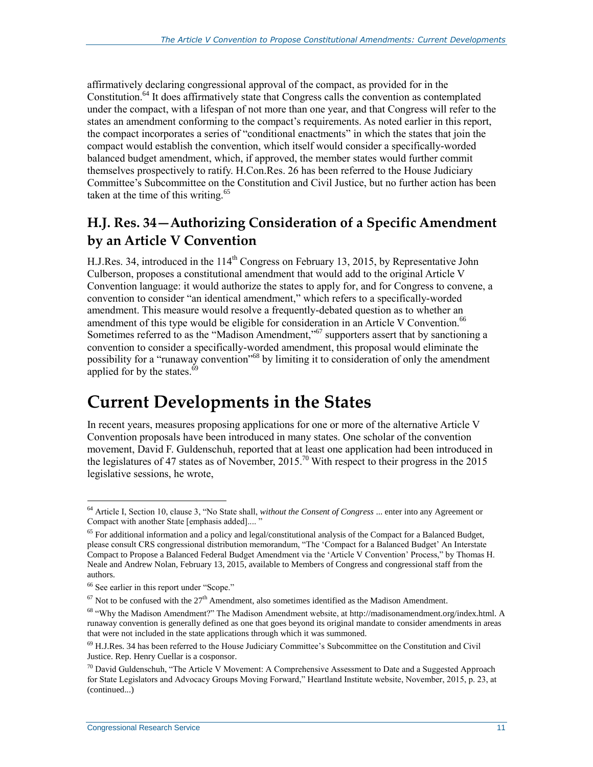affirmatively declaring congressional approval of the compact, as provided for in the Constitution.<sup>64</sup> It does affirmatively state that Congress calls the convention as contemplated under the compact, with a lifespan of not more than one year, and that Congress will refer to the states an amendment conforming to the compact's requirements. As noted earlier in this report, the compact incorporates a series of "conditional enactments" in which the states that join the compact would establish the convention, which itself would consider a specifically-worded balanced budget amendment, which, if approved, the member states would further commit themselves prospectively to ratify. H.Con.Res. 26 has been referred to the House Judiciary Committee's Subcommittee on the Constitution and Civil Justice, but no further action has been taken at the time of this writing.<sup>65</sup>

## **H.J. Res. 34—Authorizing Consideration of a Specific Amendment by an Article V Convention**

H.J.Res. 34, introduced in the  $114<sup>th</sup>$  Congress on February 13, 2015, by Representative John Culberson, proposes a constitutional amendment that would add to the original Article V Convention language: it would authorize the states to apply for, and for Congress to convene, a convention to consider "an identical amendment," which refers to a specifically-worded amendment. This measure would resolve a frequently-debated question as to whether an amendment of this type would be eligible for consideration in an Article V Convention.<sup>66</sup> Sometimes referred to as the "Madison Amendment,"<sup>67</sup> supporters assert that by sanctioning a convention to consider a specifically-worded amendment, this proposal would eliminate the possibility for a "runaway convention"<sup>68</sup> by limiting it to consideration of only the amendment applied for by the states.<sup>69</sup>

## **Current Developments in the States**

In recent years, measures proposing applications for one or more of the alternative Article V Convention proposals have been introduced in many states. One scholar of the convention movement, David F. Guldenschuh, reported that at least one application had been introduced in the legislatures of 47 states as of November, 2015.<sup>70</sup> With respect to their progress in the 2015 legislative sessions, he wrote,

<sup>64</sup> Article I, Section 10, clause 3, "No State shall, *without the Consent of Congress* ... enter into any Agreement or Compact with another State [emphasis added]....

<sup>&</sup>lt;sup>65</sup> For additional information and a policy and legal/constitutional analysis of the Compact for a Balanced Budget, please consult CRS congressional distribution memorandum, "The 'Compact for a Balanced Budget' An Interstate Compact to Propose a Balanced Federal Budget Amendment via the 'Article V Convention' Process," by Thomas H. Neale and Andrew Nolan, February 13, 2015, available to Members of Congress and congressional staff from the authors.

<sup>66</sup> See earlier in this report under "Scope."

 $67$  Not to be confused with the  $27<sup>th</sup>$  Amendment, also sometimes identified as the Madison Amendment.

<sup>68</sup> "Why the Madison Amendment?" The Madison Amendment website, at http://madisonamendment.org/index.html. A runaway convention is generally defined as one that goes beyond its original mandate to consider amendments in areas that were not included in the state applications through which it was summoned.

<sup>69</sup> H.J.Res. 34 has been referred to the House Judiciary Committee's Subcommittee on the Constitution and Civil Justice. Rep. Henry Cuellar is a cosponsor.

<sup>&</sup>lt;sup>70</sup> David Guldenschuh, "The Article V Movement: A Comprehensive Assessment to Date and a Suggested Approach for State Legislators and Advocacy Groups Moving Forward," Heartland Institute website, November, 2015, p. 23, at (continued...)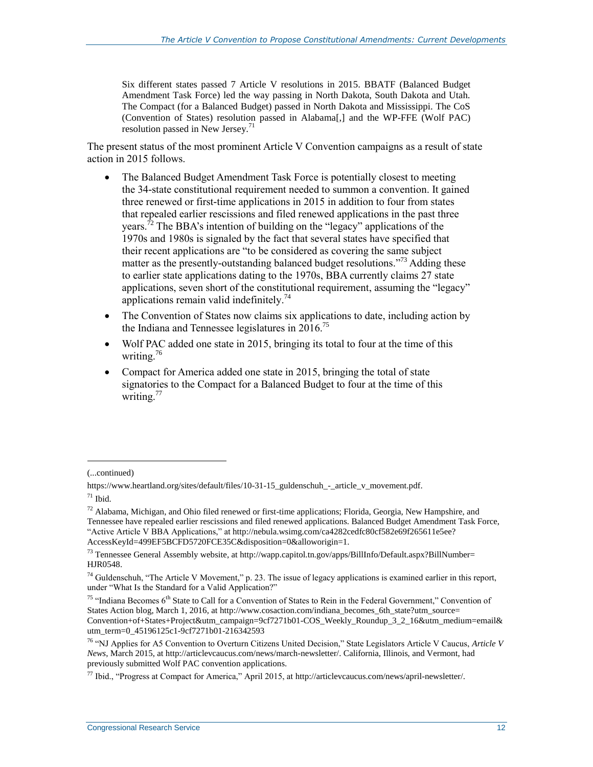Six different states passed 7 Article V resolutions in 2015. BBATF (Balanced Budget Amendment Task Force) led the way passing in North Dakota, South Dakota and Utah. The Compact (for a Balanced Budget) passed in North Dakota and Mississippi. The CoS (Convention of States) resolution passed in Alabama[,] and the WP-FFE (Wolf PAC) resolution passed in New Jersey.<sup>71</sup>

The present status of the most prominent Article V Convention campaigns as a result of state action in 2015 follows.

- The Balanced Budget Amendment Task Force is potentially closest to meeting the 34-state constitutional requirement needed to summon a convention. It gained three renewed or first-time applications in 2015 in addition to four from states that repealed earlier rescissions and filed renewed applications in the past three years.<sup>72</sup> The BBA's intention of building on the "legacy" applications of the 1970s and 1980s is signaled by the fact that several states have specified that their recent applications are "to be considered as covering the same subject matter as the presently-outstanding balanced budget resolutions."<sup>73</sup> Adding these to earlier state applications dating to the 1970s, BBA currently claims 27 state applications, seven short of the constitutional requirement, assuming the "legacy" applications remain valid indefinitely.<sup>74</sup>
- The Convention of States now claims six applications to date, including action by the Indiana and Tennessee legislatures in  $2016$ <sup>75</sup>
- Wolf PAC added one state in 2015, bringing its total to four at the time of this writing.<sup>76</sup>
- Compact for America added one state in 2015, bringing the total of state signatories to the Compact for a Balanced Budget to four at the time of this writing.<sup>77</sup>

<sup>(...</sup>continued)

https://www.heartland.org/sites/default/files/10-31-15\_guldenschuh\_-\_article\_v\_movement.pdf.  $71$  Ibid.

 $72$  Alabama, Michigan, and Ohio filed renewed or first-time applications; Florida, Georgia, New Hampshire, and Tennessee have repealed earlier rescissions and filed renewed applications. Balanced Budget Amendment Task Force, "Active Article V BBA Applications," at http://nebula.wsimg.com/ca4282cedfc80cf582e69f265611e5ee? AccessKeyId=499EF5BCFD5720FCE35C&disposition=0&alloworigin=1.

<sup>73</sup> Tennessee General Assembly website, at http://wapp.capitol.tn.gov/apps/BillInfo/Default.aspx?BillNumber= HJR0548.

<sup>&</sup>lt;sup>74</sup> Guldenschuh, "The Article V Movement," p. 23. The issue of legacy applications is examined earlier in this report, under "What Is the Standard for a Valid Application?"

 $75$  "Indiana Becomes  $6<sup>th</sup>$  State to Call for a Convention of States to Rein in the Federal Government," Convention of States Action blog, March 1, 2016, at http://www.cosaction.com/indiana\_becomes\_6th\_state?utm\_source= Convention+of+States+Project&utm\_campaign=9cf7271b01-COS\_Weekly\_Roundup\_3\_2\_16&utm\_medium=email& utm\_term=0\_45196125c1-9cf7271b01-216342593

<sup>76</sup> "NJ Applies for A5 Convention to Overturn Citizens United Decision," State Legislators Article V Caucus, *Article V News*, March 2015, at http://articlevcaucus.com/news/march-newsletter/. California, Illinois, and Vermont, had previously submitted Wolf PAC convention applications.

<sup>77</sup> Ibid., "Progress at Compact for America," April 2015, at http://articlevcaucus.com/news/april-newsletter/.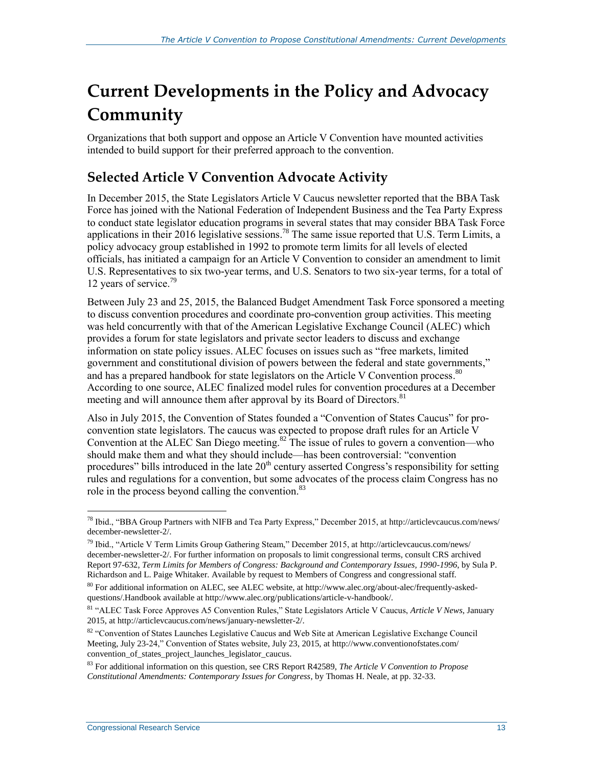## **Current Developments in the Policy and Advocacy Community**

Organizations that both support and oppose an Article V Convention have mounted activities intended to build support for their preferred approach to the convention.

### **Selected Article V Convention Advocate Activity**

In December 2015, the State Legislators Article V Caucus newsletter reported that the BBA Task Force has joined with the National Federation of Independent Business and the Tea Party Express to conduct state legislator education programs in several states that may consider BBA Task Force applications in their 2016 legislative sessions.<sup>78</sup> The same issue reported that U.S. Term Limits, a policy advocacy group established in 1992 to promote term limits for all levels of elected officials, has initiated a campaign for an Article V Convention to consider an amendment to limit U.S. Representatives to six two-year terms, and U.S. Senators to two six-year terms, for a total of 12 years of service.<sup>79</sup>

Between July 23 and 25, 2015, the Balanced Budget Amendment Task Force sponsored a meeting to discuss convention procedures and coordinate pro-convention group activities. This meeting was held concurrently with that of the American Legislative Exchange Council (ALEC) which provides a forum for state legislators and private sector leaders to discuss and exchange information on state policy issues. ALEC focuses on issues such as "free markets, limited government and constitutional division of powers between the federal and state governments," and has a prepared handbook for state legislators on the Article V Convention process.<sup>80</sup> According to one source, ALEC finalized model rules for convention procedures at a December meeting and will announce them after approval by its Board of Directors.<sup>81</sup>

Also in July 2015, the Convention of States founded a "Convention of States Caucus" for proconvention state legislators. The caucus was expected to propose draft rules for an Article V Convention at the ALEC San Diego meeting.<sup>82</sup> The issue of rules to govern a convention—who should make them and what they should include—has been controversial: "convention procedures" bills introduced in the late  $20<sup>th</sup>$  century asserted Congress's responsibility for setting rules and regulations for a convention, but some advocates of the process claim Congress has no role in the process beyond calling the convention.<sup>83</sup>

 $\overline{a}$ <sup>78</sup> Ibid., "BBA Group Partners with NIFB and Tea Party Express," December 2015, at http://articlevcaucus.com/news/ december-newsletter-2/.

<sup>79</sup> Ibid., "Article V Term Limits Group Gathering Steam," December 2015, at http://articlevcaucus.com/news/ december-newsletter-2/. For further information on proposals to limit congressional terms, consult CRS archived Report 97-632, *Term Limits for Members of Congress: Background and Contemporary Issues, 1990-1996*, by Sula P. Richardson and L. Paige Whitaker. Available by request to Members of Congress and congressional staff.

<sup>80</sup> For additional information on ALEC, see ALEC website, at http://www.alec.org/about-alec/frequently-askedquestions/.Handbook available at http://www.alec.org/publications/article-v-handbook/.

<sup>81</sup> "ALEC Task Force Approves A5 Convention Rules," State Legislators Article V Caucus, *Article V News*, January 2015, at http://articlevcaucus.com/news/january-newsletter-2/.

<sup>82 &</sup>quot;Convention of States Launches Legislative Caucus and Web Site at American Legislative Exchange Council Meeting, July 23-24," Convention of States website, July 23, 2015, at http://www.conventionofstates.com/ convention\_of\_states\_project\_launches\_legislator\_caucus.

<sup>83</sup> For additional information on this question, see CRS Report R42589, *The Article V Convention to Propose Constitutional Amendments: Contemporary Issues for Congress*, by Thomas H. Neale, at pp. 32-33.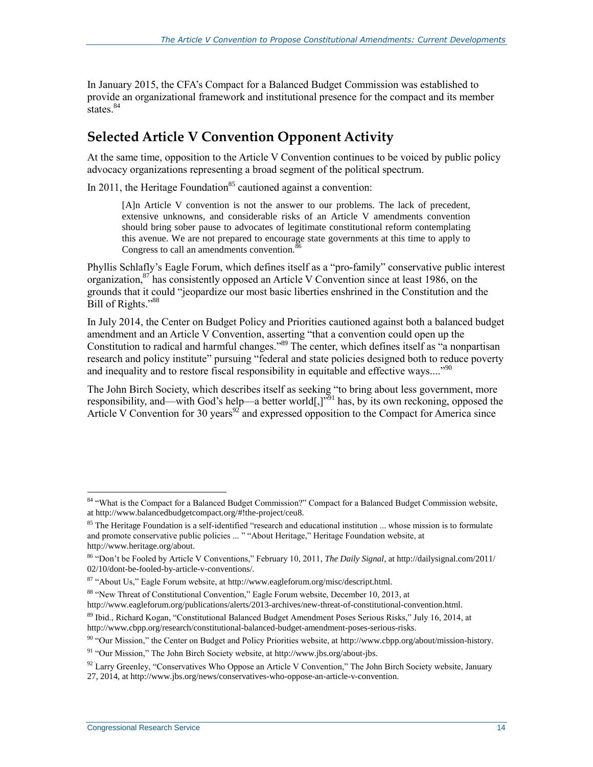In January 2015, the CFA's Compact for a Balanced Budget Commission was established to provide an organizational framework and institutional presence for the compact and its member states.<sup>84</sup>

### **Selected Article V Convention Opponent Activity**

At the same time, opposition to the Article V Convention continues to be voiced by public policy advocacy organizations representing a broad segment of the political spectrum.

In 2011, the Heritage Foundation<sup>85</sup> cautioned against a convention:

[A]n Article V convention is not the answer to our problems. The lack of precedent, extensive unknowns, and considerable risks of an Article V amendments convention should bring sober pause to advocates of legitimate constitutional reform contemplating this avenue. We are not prepared to encourage state governments at this time to apply to Congress to call an amendments convention.<sup>86</sup>

Phyllis Schlafly's Eagle Forum, which defines itself as a "pro-family" conservative public interest organization,<sup>87</sup> has consistently opposed an Article V Convention since at least 1986, on the grounds that it could "jeopardize our most basic liberties enshrined in the Constitution and the Bill of Rights."<sup>88</sup>

In July 2014, the Center on Budget Policy and Priorities cautioned against both a balanced budget amendment and an Article V Convention, asserting "that a convention could open up the Constitution to radical and harmful changes."<sup>89</sup> The center, which defines itself as "a nonpartisan research and policy institute" pursuing "federal and state policies designed both to reduce poverty and inequality and to restore fiscal responsibility in equitable and effective ways...."<sup>90</sup>

The John Birch Society, which describes itself as seeking "to bring about less government, more responsibility, and—with God's help—a better world[,]"<sup>91</sup> has, by its own reckoning, opposed the Article V Convention for 30 years<sup>92</sup> and expressed opposition to the Compact for America since

<sup>&</sup>lt;sup>84</sup> "What is the Compact for a Balanced Budget Commission?" Compact for a Balanced Budget Commission website, at http://www.balancedbudgetcompact.org/#!the-project/ceu8.

 $85$  The Heritage Foundation is a self-identified "research and educational institution  $\ldots$  whose mission is to formulate and promote conservative public policies ... " "About Heritage," Heritage Foundation website, at http://www.heritage.org/about.

<sup>86</sup> "Don't be Fooled by Article V Conventions," February 10, 2011, *The Daily Signal*, at http://dailysignal.com/2011/ 02/10/dont-be-fooled-by-article-v-conventions/.

<sup>87</sup> "About Us," Eagle Forum website, at http://www.eagleforum.org/misc/descript.html.

<sup>88</sup> "New Threat of Constitutional Convention," Eagle Forum website, December 10, 2013, at

http://www.eagleforum.org/publications/alerts/2013-archives/new-threat-of-constitutional-convention.html.

<sup>89</sup> Ibid., Richard Kogan, "Constitutional Balanced Budget Amendment Poses Serious Risks," July 16, 2014, at http://www.cbpp.org/research/constitutional-balanced-budget-amendment-poses-serious-risks.

<sup>90</sup> "Our Mission," the Center on Budget and Policy Priorities website, at http://www.cbpp.org/about/mission-history.

<sup>91</sup> "Our Mission," The John Birch Society website, at http://www.jbs.org/about-jbs.

<sup>&</sup>lt;sup>92</sup> Larry Greenley, "Conservatives Who Oppose an Article V Convention," The John Birch Society website, January 27, 2014, at http://www.jbs.org/news/conservatives-who-oppose-an-article-v-convention.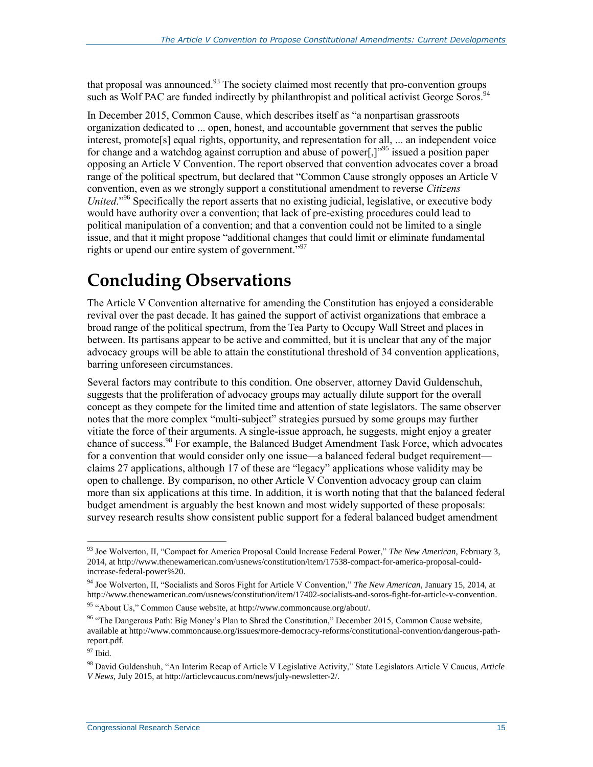that proposal was announced.<sup>93</sup> The society claimed most recently that pro-convention groups such as Wolf PAC are funded indirectly by philanthropist and political activist George Soros.<sup>9</sup>

In December 2015, Common Cause, which describes itself as "a nonpartisan grassroots organization dedicated to ... open, honest, and accountable government that serves the public interest, promote<sup>[s]</sup> equal rights, opportunity, and representation for all, ... an independent voice for change and a watchdog against corruption and abuse of power[,]<sup>"95</sup> issued a position paper opposing an Article V Convention. The report observed that convention advocates cover a broad range of the political spectrum, but declared that "Common Cause strongly opposes an Article V convention, even as we strongly support a constitutional amendment to reverse *Citizens United.*<sup>"96</sup> Specifically the report asserts that no existing judicial, legislative, or executive body would have authority over a convention; that lack of pre-existing procedures could lead to political manipulation of a convention; and that a convention could not be limited to a single issue, and that it might propose "additional changes that could limit or eliminate fundamental rights or upend our entire system of government."<sup>97</sup>

## **Concluding Observations**

The Article V Convention alternative for amending the Constitution has enjoyed a considerable revival over the past decade. It has gained the support of activist organizations that embrace a broad range of the political spectrum, from the Tea Party to Occupy Wall Street and places in between. Its partisans appear to be active and committed, but it is unclear that any of the major advocacy groups will be able to attain the constitutional threshold of 34 convention applications, barring unforeseen circumstances.

Several factors may contribute to this condition. One observer, attorney David Guldenschuh, suggests that the proliferation of advocacy groups may actually dilute support for the overall concept as they compete for the limited time and attention of state legislators. The same observer notes that the more complex "multi-subject" strategies pursued by some groups may further vitiate the force of their arguments. A single-issue approach, he suggests, might enjoy a greater chance of success. <sup>98</sup> For example, the Balanced Budget Amendment Task Force, which advocates for a convention that would consider only one issue—a balanced federal budget requirement claims 27 applications, although 17 of these are "legacy" applications whose validity may be open to challenge. By comparison, no other Article V Convention advocacy group can claim more than six applications at this time. In addition, it is worth noting that that the balanced federal budget amendment is arguably the best known and most widely supported of these proposals: survey research results show consistent public support for a federal balanced budget amendment

<sup>93</sup> Joe Wolverton, II, "Compact for America Proposal Could Increase Federal Power," *The New American*, February 3, 2014, at http://www.thenewamerican.com/usnews/constitution/item/17538-compact-for-america-proposal-couldincrease-federal-power%20.

<sup>94</sup> Joe Wolverton, II, "Socialists and Soros Fight for Article V Convention," *The New American*, January 15, 2014, at http://www.thenewamerican.com/usnews/constitution/item/17402-socialists-and-soros-fight-for-article-v-convention.

<sup>95</sup> "About Us," Common Cause website, at http://www.commoncause.org/about/.

<sup>&</sup>lt;sup>96</sup> "The Dangerous Path: Big Money's Plan to Shred the Constitution," December 2015, Common Cause website, available at http://www.commoncause.org/issues/more-democracy-reforms/constitutional-convention/dangerous-pathreport.pdf.

 $97$  Ibid.

<sup>98</sup> David Guldenshuh, "An Interim Recap of Article V Legislative Activity," State Legislators Article V Caucus, *Article V News*, July 2015, at http://articlevcaucus.com/news/july-newsletter-2/.